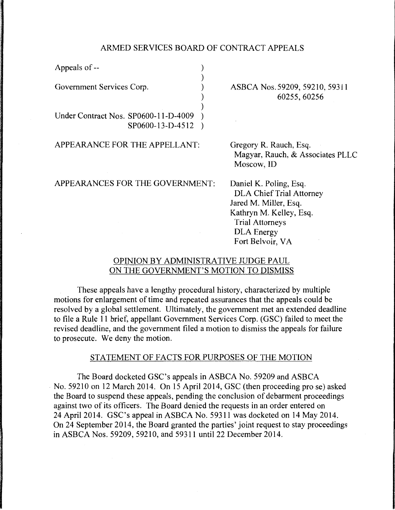## ARMED SERVICES BOARD OF CONTRACT APPEALS

| Appeals of --                                            |  |
|----------------------------------------------------------|--|
| Government Services Corp.                                |  |
| Under Contract Nos. SP0600-11-D-4009<br>SP0600-13-D-4512 |  |

APPEARANCE FOR THE APPELLANT:

ASBCA Nos.59209, 59210, 59311 60255,60256

Gregory R. Rauch, Esq. Magyar, Rauch, & Associates PLLC Moscow, ID

APPEARANCES FOR THE GOVERNMENT:

Daniel K. Poling, Esq. DLA Chief Trial Attorney Jared M. Miller, Esq. Kathryn M. Kelley, Esq. Trial Attorneys DLA Energy Fort Belvoir, VA

## OPINION BY ADMINISTRATIVE JUDGE PAUL ON THE GOVERNMENT'S MOTION TO DISMISS

These appeals have a lengthy procedural history, characterized by multiple motions for enlargement of time and repeated assurances that the appeals could be resolved by a global settlement. Ultimately, the government met an extended deadline to file a Rule 11 brief, appellant Government Services Corp. (GSC) failed to meet the revised deadline, and the government filed a motion to dismiss the appeals for failure to prosecute. We deny the motion.

## STATEMENT OF FACTS FOR PURPOSES OF THE MOTION

The Board docketed GSC's appeals in ASBCA No. 59209 and ASBCA No. 59210 on 12 March 2014. On 15 April 2014, GSC (then proceeding prose) asked the Board to suspend these appeals, pending the conclusion of debarment proceedings against two of its officers. The Board denied the requests in an order entered on 24 April 2014. GSC's appeal in ASBCA No. 59311 was docketed on 14 May 2014. On 24 September 2014, the Board granted the parties' joint request to stay proceedings in ASBCA Nos. 59209, 59210, and 59311 until 22 December 2014.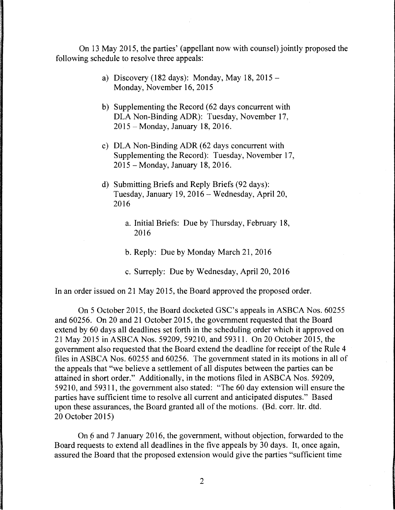On 13 May 2015, the parties' (appellant now with counsel) jointly proposed the following schedule to resolve three appeals:

- a) Discovery (182 days): Monday, May 18,  $2015 -$ Monday, November 16, 2015
- b) Supplementing the Record (62 days concurrent with DLA Non-Binding ADR): Tuesday, November 17, 2015-Monday, January 18, 2016.
- c) DLA Non-Binding ADR (62 days concurrent with Supplementing the Record): Tuesday, November 17, 2015 -Monday, January 18, 2016.
- d) Submitting Briefs and Reply Briefs (92 days): Tuesday, January 19, 2016- Wednesday, April 20, 2016
	- a. Initial Briefs: Due by Thursday, February 18, 2016
	- b. Reply: Due by Monday March 21, 2016
	- c. Surreply: Due by Wednesday, April 20, 2016

In an order issued on 21 May 2015, the Board approved the proposed order.

On 5 October 2015, the Board docketed GSC's appeals in ASBCA Nos. 60255 and 60256. On 20 and 21 October 2015, the government requested that the Board extend by 60 days all deadlines set forth in the scheduling order which it approved on 21 May 2015 in ASBCA Nos. 59209, 59210, and 59311. On 20 October 2015, the government also requested that the Board extend the deadline for receipt of the Rule 4 files in ASBCA Nos. 60255 and 60256. The government stated in its motions in all of the appeals that "we believe a settlement of all disputes between the parties can be attained in short order." Additionally, in the motions filed in ASBCA Nos. 59209, 59210, and 59311, the government also stated: "The 60 day extension will ensure the parties have sufficient time to resolve all current and anticipated disputes." Based upon these assurances, the Board granted all of the motions. (Bd. corr. ltr. dtd. 20 October 2015)

On 6 and 7 January 2016, the government, without objection, forwarded to the Board requests to extend all deadlines in the five appeals by 30 days. It, once again, assured the Board that the proposed extension would give the parties "sufficient time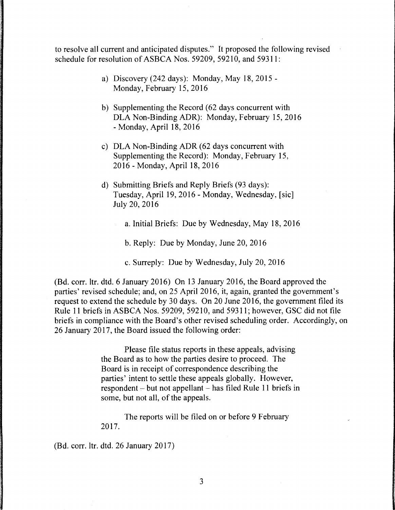to resolve all current and anticipated disputes." It proposed the following revised schedule for resolution of ASBCA Nos. 59209, 59210, and 59311:

- a) Discovery (242 days): Monday, May 18, 2015 Monday, February 15, 2016
- b) Supplementing the Record (62 days concurrent with DLA Non-Binding ADR): Monday, February 15, 2016 - Monday, April 18, 2016
- c) DLA Non-Binding ADR (62 days concurrent with Supplementing the Record): Monday, February 15, 2016 - Monday, April 18, 2016
- d) Submitting Briefs and Reply Briefs (93 days): Tuesday, April 19, 2016 - Monday, Wednesday, [sic] July 20, 2016
	- a. Initial Briefs: Due by Wednesday, May 18, 2016
		- b. Reply: Due by Monday, June 20, 2016
		- c. Surreply: Due by Wednesday, July 20, 2016

(Bd. corr. ltr. dtd. 6 January 2016) On 13 January 2016, the Board approved the parties' revised schedule; and, on 25 April 2016, it, again, granted the government's request to extend the schedule by 30 days. On 20 June 2016, the government filed its Rule 11 briefs in ASBCA Nos. 59209, 59210, and 59311; however, GSC did not file briefs in compliance with the Board's other revised scheduling order. Accordingly, on 26 January 2017, the Board issued the following order:

> Please file status reports in these appeals, advising the Board as to how the parties desire to proceed. The Board is in receipt of correspondence describing the parties' intent to settle these appeals globally. However,  $respondent - but not appendix - has filed Rule 11 briefs in$ some, but not all, of the appeals.

The reports will be filed on or before 9 February 2017.

(Bd. corr. ltr. dtd. 26 January 2017)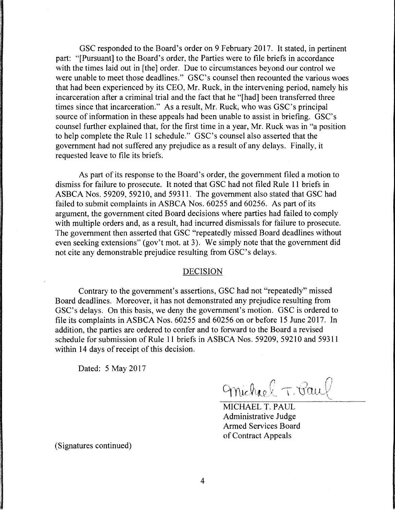GSC responded to the Board's order on 9 February 2017. It stated, in pertinent part: "[Pursuant] to the Board's order, the Parties were to file briefs in accordance with the times laid out in [the] order. Due to circumstances beyond our control we were unable to meet those deadlines." GSC's counsel then recounted the various woes that had been experienced by its CEO, Mr. Ruck, in the intervening period, namely his incarceration after a criminal trial and the fact that he "[had] been transferred three times since that incarceration." As a result, Mr. Ruck, who was GSC's principal source of information in these appeals had been unable to assist in briefing. GSC's counsel further explained that, for the first time in a year, Mr. Ruck was in "a position to help complete the Rule 11 schedule." GSC's counsel also asserted that the government had not suffered any prejudice as a result of any delays. Finally, it requested leave to file its briefs.

As part of its response to the Board's order, the government filed a motion to dismiss for failure to prosecute. It noted that GSC had not filed Rule 11 briefs in ASBCA Nos. 59209, 59210, and 59311. The government also stated that GSC had failed to submit complaints in ASBCA Nos. 60255 and 60256. As part of its argument, the government cited Board decisions where parties had failed to comply with multiple orders and, as a result, had incurred dismissals for failure to prosecute. The government then asserted that GSC "repeatedly missed Board deadlines without even seeking extensions" (gov't mot. at 3). We simply note that the government did not cite any demonstrable prejudice resulting from GSC's delays.

## DECISION

Contrary to the government's assertions, GSC had not "repeatedly" missed Board deadlines. Moreover, it has not demonstrated any prejudice resulting from GSC's delays. On this basis, we deny the government's motion. GSC is ordered to file its complaints in ASBCA Nos. 60255 and 60256 on or before 15 June 2017. In addition, the parties are ordered to confer and to forward to the Board a revised schedule for submission of Rule 11 briefs in ASBCA Nos. 59209, 59210 and 59311 within 14 days of receipt of this decision.

Dated: 5 May 2017

Michael T. Paul

MICHAEL T. PAUL Administrative Judge Armed Services Board of Contract Appeals

(Signatures continued)